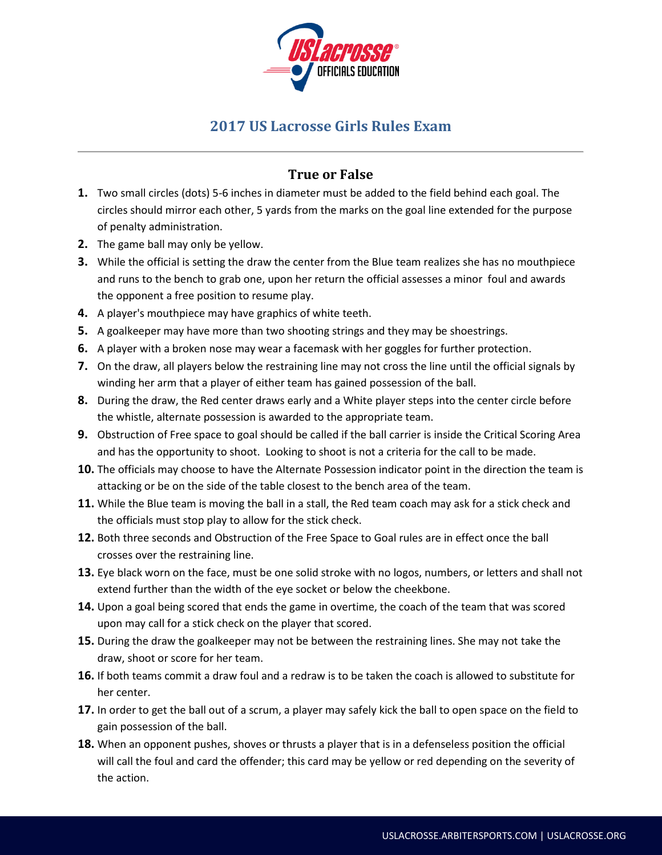

## **2017 US Lacrosse Girls Rules Exam**

## **True or False**

- **1.** Two small circles (dots) 5-6 inches in diameter must be added to the field behind each goal. The circles should mirror each other, 5 yards from the marks on the goal line extended for the purpose of penalty administration.
- **2.** The game ball may only be yellow.
- **3.** While the official is setting the draw the center from the Blue team realizes she has no mouthpiece and runs to the bench to grab one, upon her return the official assesses a minor foul and awards the opponent a free position to resume play.
- **4.** A player's mouthpiece may have graphics of white teeth.
- **5.** A goalkeeper may have more than two shooting strings and they may be shoestrings.
- **6.** A player with a broken nose may wear a facemask with her goggles for further protection.
- **7.** On the draw, all players below the restraining line may not cross the line until the official signals by winding her arm that a player of either team has gained possession of the ball.
- **8.** During the draw, the Red center draws early and a White player steps into the center circle before the whistle, alternate possession is awarded to the appropriate team.
- **9.** Obstruction of Free space to goal should be called if the ball carrier is inside the Critical Scoring Area and has the opportunity to shoot. Looking to shoot is not a criteria for the call to be made.
- **10.** The officials may choose to have the Alternate Possession indicator point in the direction the team is attacking or be on the side of the table closest to the bench area of the team.
- **11.** While the Blue team is moving the ball in a stall, the Red team coach may ask for a stick check and the officials must stop play to allow for the stick check.
- **12.** Both three seconds and Obstruction of the Free Space to Goal rules are in effect once the ball crosses over the restraining line.
- **13.** Eye black worn on the face, must be one solid stroke with no logos, numbers, or letters and shall not extend further than the width of the eye socket or below the cheekbone.
- **14.** Upon a goal being scored that ends the game in overtime, the coach of the team that was scored upon may call for a stick check on the player that scored.
- **15.** During the draw the goalkeeper may not be between the restraining lines. She may not take the draw, shoot or score for her team.
- **16.** If both teams commit a draw foul and a redraw is to be taken the coach is allowed to substitute for her center.
- **17.** In order to get the ball out of a scrum, a player may safely kick the ball to open space on the field to gain possession of the ball.
- **18.** When an opponent pushes, shoves or thrusts a player that is in a defenseless position the official will call the foul and card the offender; this card may be yellow or red depending on the severity of the action.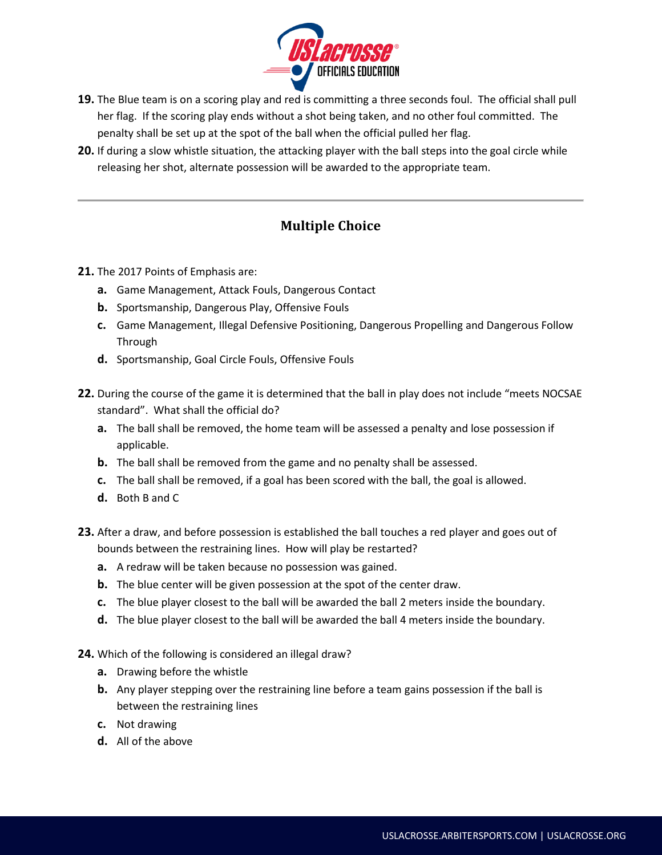

- **19.** The Blue team is on a scoring play and red is committing a three seconds foul. The official shall pull her flag. If the scoring play ends without a shot being taken, and no other foul committed. The penalty shall be set up at the spot of the ball when the official pulled her flag.
- **20.** If during a slow whistle situation, the attacking player with the ball steps into the goal circle while releasing her shot, alternate possession will be awarded to the appropriate team.

## **Multiple Choice**

- **21.** The 2017 Points of Emphasis are:
	- **a.** Game Management, Attack Fouls, Dangerous Contact
	- **b.** Sportsmanship, Dangerous Play, Offensive Fouls
	- **c.** Game Management, Illegal Defensive Positioning, Dangerous Propelling and Dangerous Follow Through
	- **d.** Sportsmanship, Goal Circle Fouls, Offensive Fouls
- **22.** During the course of the game it is determined that the ball in play does not include "meets NOCSAE standard". What shall the official do?
	- **a.** The ball shall be removed, the home team will be assessed a penalty and lose possession if applicable.
	- **b.** The ball shall be removed from the game and no penalty shall be assessed.
	- **c.** The ball shall be removed, if a goal has been scored with the ball, the goal is allowed.
	- **d.** Both B and C
- **23.** After a draw, and before possession is established the ball touches a red player and goes out of bounds between the restraining lines. How will play be restarted?
	- **a.** A redraw will be taken because no possession was gained.
	- **b.** The blue center will be given possession at the spot of the center draw.
	- **c.** The blue player closest to the ball will be awarded the ball 2 meters inside the boundary.
	- **d.** The blue player closest to the ball will be awarded the ball 4 meters inside the boundary.
- **24.** Which of the following is considered an illegal draw?
	- **a.** Drawing before the whistle
	- **b.** Any player stepping over the restraining line before a team gains possession if the ball is between the restraining lines
	- **c.** Not drawing
	- **d.** All of the above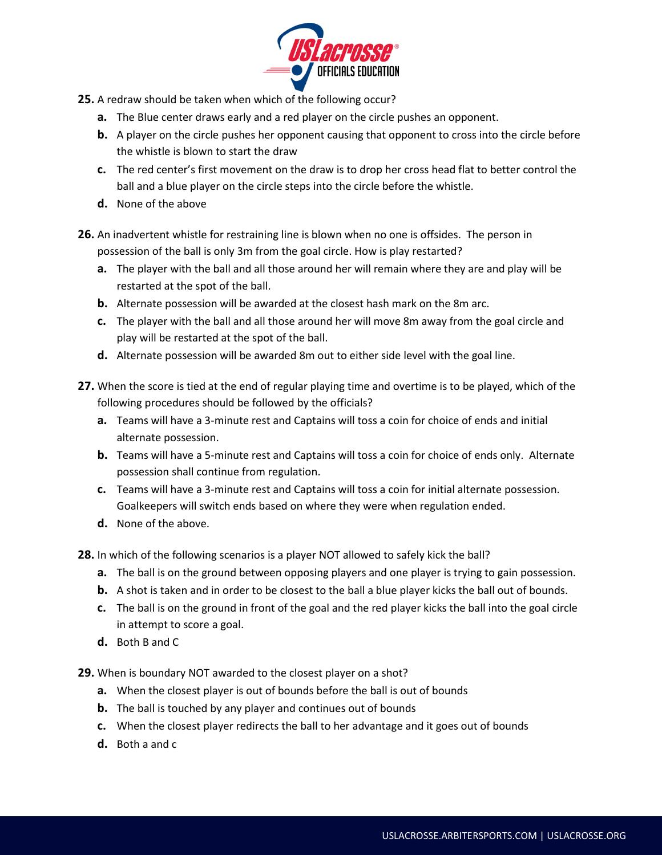

- **25.** A redraw should be taken when which of the following occur?
	- **a.** The Blue center draws early and a red player on the circle pushes an opponent.
	- **b.** A player on the circle pushes her opponent causing that opponent to cross into the circle before the whistle is blown to start the draw
	- **c.** The red center's first movement on the draw is to drop her cross head flat to better control the ball and a blue player on the circle steps into the circle before the whistle.
	- **d.** None of the above
- **26.** An inadvertent whistle for restraining line is blown when no one is offsides. The person in possession of the ball is only 3m from the goal circle. How is play restarted?
	- **a.** The player with the ball and all those around her will remain where they are and play will be restarted at the spot of the ball.
	- **b.** Alternate possession will be awarded at the closest hash mark on the 8m arc.
	- **c.** The player with the ball and all those around her will move 8m away from the goal circle and play will be restarted at the spot of the ball.
	- **d.** Alternate possession will be awarded 8m out to either side level with the goal line.
- **27.** When the score is tied at the end of regular playing time and overtime is to be played, which of the following procedures should be followed by the officials?
	- **a.** Teams will have a 3-minute rest and Captains will toss a coin for choice of ends and initial alternate possession.
	- **b.** Teams will have a 5-minute rest and Captains will toss a coin for choice of ends only. Alternate possession shall continue from regulation.
	- **c.** Teams will have a 3-minute rest and Captains will toss a coin for initial alternate possession. Goalkeepers will switch ends based on where they were when regulation ended.
	- **d.** None of the above.
- **28.** In which of the following scenarios is a player NOT allowed to safely kick the ball?
	- **a.** The ball is on the ground between opposing players and one player is trying to gain possession.
	- **b.** A shot is taken and in order to be closest to the ball a blue player kicks the ball out of bounds.
	- **c.** The ball is on the ground in front of the goal and the red player kicks the ball into the goal circle in attempt to score a goal.
	- **d.** Both B and C
- **29.** When is boundary NOT awarded to the closest player on a shot?
	- **a.** When the closest player is out of bounds before the ball is out of bounds
	- **b.** The ball is touched by any player and continues out of bounds
	- **c.** When the closest player redirects the ball to her advantage and it goes out of bounds
	- **d.** Both a and c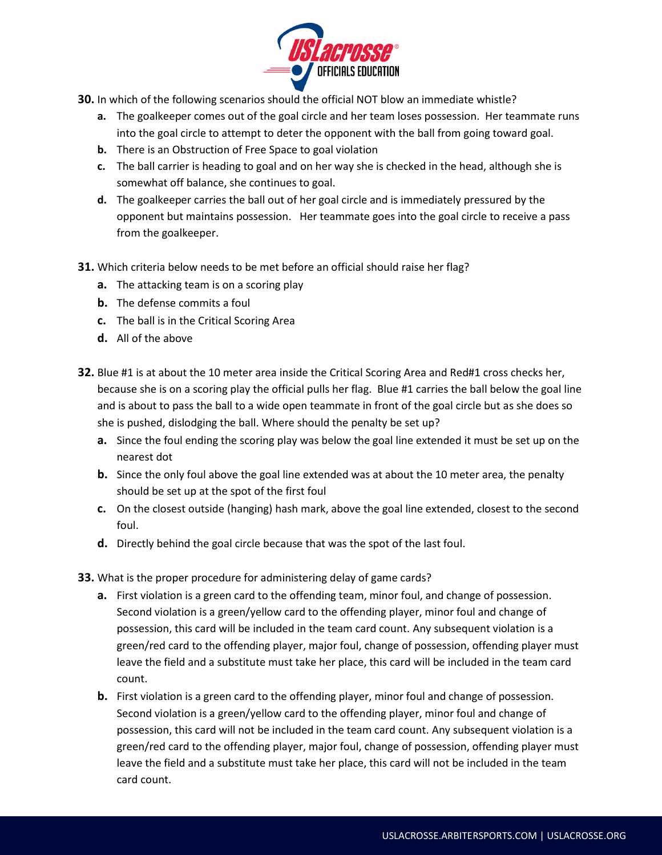

- **30.** In which of the following scenarios should the official NOT blow an immediate whistle?
	- **a.** The goalkeeper comes out of the goal circle and her team loses possession. Her teammate runs into the goal circle to attempt to deter the opponent with the ball from going toward goal.
	- **b.** There is an Obstruction of Free Space to goal violation
	- **c.** The ball carrier is heading to goal and on her way she is checked in the head, although she is somewhat off balance, she continues to goal.
	- **d.** The goalkeeper carries the ball out of her goal circle and is immediately pressured by the opponent but maintains possession. Her teammate goes into the goal circle to receive a pass from the goalkeeper.
- **31.** Which criteria below needs to be met before an official should raise her flag?
	- **a.** The attacking team is on a scoring play
	- **b.** The defense commits a foul
	- **c.** The ball is in the Critical Scoring Area
	- **d.** All of the above
- **32.** Blue #1 is at about the 10 meter area inside the Critical Scoring Area and Red#1 cross checks her, because she is on a scoring play the official pulls her flag. Blue #1 carries the ball below the goal line and is about to pass the ball to a wide open teammate in front of the goal circle but as she does so she is pushed, dislodging the ball. Where should the penalty be set up?
	- **a.** Since the foul ending the scoring play was below the goal line extended it must be set up on the nearest dot
	- **b.** Since the only foul above the goal line extended was at about the 10 meter area, the penalty should be set up at the spot of the first foul
	- **c.** On the closest outside (hanging) hash mark, above the goal line extended, closest to the second foul.
	- **d.** Directly behind the goal circle because that was the spot of the last foul.
- **33.** What is the proper procedure for administering delay of game cards?
	- **a.** First violation is a green card to the offending team, minor foul, and change of possession. Second violation is a green/yellow card to the offending player, minor foul and change of possession, this card will be included in the team card count. Any subsequent violation is a green/red card to the offending player, major foul, change of possession, offending player must leave the field and a substitute must take her place, this card will be included in the team card count.
	- **b.** First violation is a green card to the offending player, minor foul and change of possession. Second violation is a green/yellow card to the offending player, minor foul and change of possession, this card will not be included in the team card count. Any subsequent violation is a green/red card to the offending player, major foul, change of possession, offending player must leave the field and a substitute must take her place, this card will not be included in the team card count.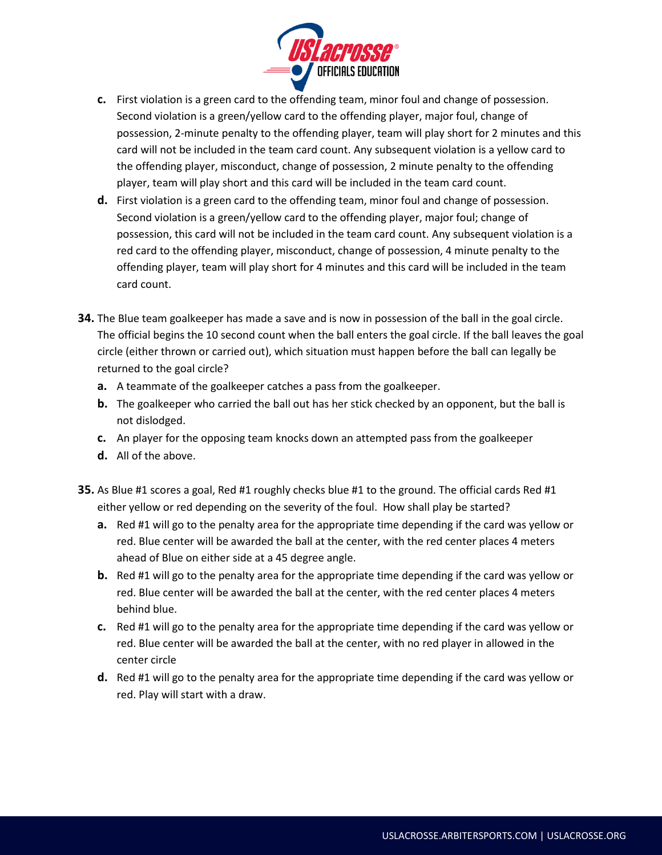

- **c.** First violation is a green card to the offending team, minor foul and change of possession. Second violation is a green/yellow card to the offending player, major foul, change of possession, 2-minute penalty to the offending player, team will play short for 2 minutes and this card will not be included in the team card count. Any subsequent violation is a yellow card to the offending player, misconduct, change of possession, 2 minute penalty to the offending player, team will play short and this card will be included in the team card count.
- **d.** First violation is a green card to the offending team, minor foul and change of possession. Second violation is a green/yellow card to the offending player, major foul; change of possession, this card will not be included in the team card count. Any subsequent violation is a red card to the offending player, misconduct, change of possession, 4 minute penalty to the offending player, team will play short for 4 minutes and this card will be included in the team card count.
- **34.** The Blue team goalkeeper has made a save and is now in possession of the ball in the goal circle. The official begins the 10 second count when the ball enters the goal circle. If the ball leaves the goal circle (either thrown or carried out), which situation must happen before the ball can legally be returned to the goal circle?
	- **a.** A teammate of the goalkeeper catches a pass from the goalkeeper.
	- **b.** The goalkeeper who carried the ball out has her stick checked by an opponent, but the ball is not dislodged.
	- **c.** An player for the opposing team knocks down an attempted pass from the goalkeeper
	- **d.** All of the above.
- **35.** As Blue #1 scores a goal, Red #1 roughly checks blue #1 to the ground. The official cards Red #1 either yellow or red depending on the severity of the foul. How shall play be started?
	- **a.** Red #1 will go to the penalty area for the appropriate time depending if the card was yellow or red. Blue center will be awarded the ball at the center, with the red center places 4 meters ahead of Blue on either side at a 45 degree angle.
	- **b.** Red #1 will go to the penalty area for the appropriate time depending if the card was yellow or red. Blue center will be awarded the ball at the center, with the red center places 4 meters behind blue.
	- **c.** Red #1 will go to the penalty area for the appropriate time depending if the card was yellow or red. Blue center will be awarded the ball at the center, with no red player in allowed in the center circle
	- **d.** Red #1 will go to the penalty area for the appropriate time depending if the card was yellow or red. Play will start with a draw.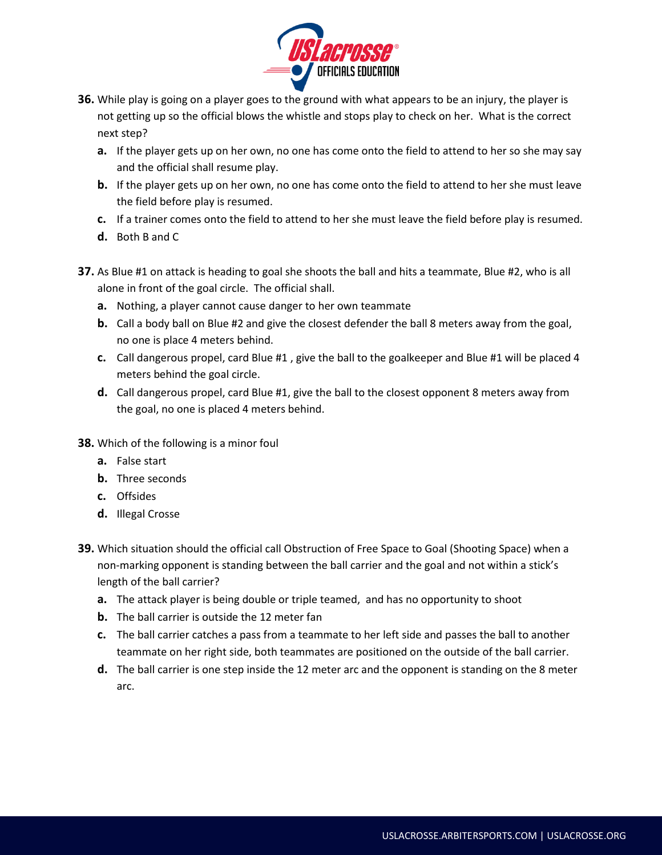

- **36.** While play is going on a player goes to the ground with what appears to be an injury, the player is not getting up so the official blows the whistle and stops play to check on her. What is the correct next step?
	- **a.** If the player gets up on her own, no one has come onto the field to attend to her so she may say and the official shall resume play.
	- **b.** If the player gets up on her own, no one has come onto the field to attend to her she must leave the field before play is resumed.
	- **c.** If a trainer comes onto the field to attend to her she must leave the field before play is resumed.
	- **d.** Both B and C
- **37.** As Blue #1 on attack is heading to goal she shoots the ball and hits a teammate, Blue #2, who is all alone in front of the goal circle. The official shall.
	- **a.** Nothing, a player cannot cause danger to her own teammate
	- **b.** Call a body ball on Blue #2 and give the closest defender the ball 8 meters away from the goal, no one is place 4 meters behind.
	- **c.** Call dangerous propel, card Blue #1 , give the ball to the goalkeeper and Blue #1 will be placed 4 meters behind the goal circle.
	- **d.** Call dangerous propel, card Blue #1, give the ball to the closest opponent 8 meters away from the goal, no one is placed 4 meters behind.
- **38.** Which of the following is a minor foul
	- **a.** False start
	- **b.** Three seconds
	- **c.** Offsides
	- **d.** Illegal Crosse
- **39.** Which situation should the official call Obstruction of Free Space to Goal (Shooting Space) when a non-marking opponent is standing between the ball carrier and the goal and not within a stick's length of the ball carrier?
	- **a.** The attack player is being double or triple teamed, and has no opportunity to shoot
	- **b.** The ball carrier is outside the 12 meter fan
	- **c.** The ball carrier catches a pass from a teammate to her left side and passes the ball to another teammate on her right side, both teammates are positioned on the outside of the ball carrier.
	- **d.** The ball carrier is one step inside the 12 meter arc and the opponent is standing on the 8 meter arc.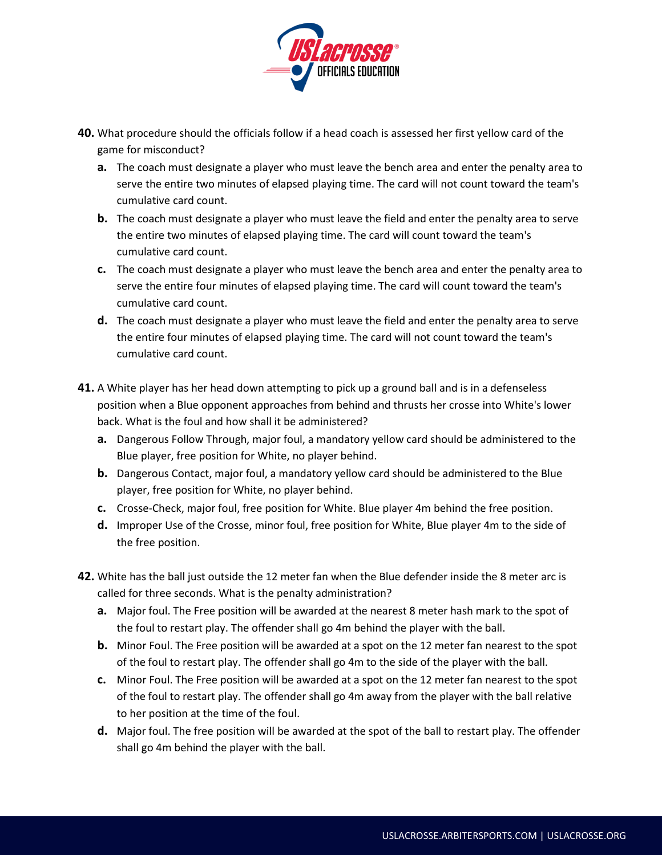

- **40.** What procedure should the officials follow if a head coach is assessed her first yellow card of the game for misconduct?
	- **a.** The coach must designate a player who must leave the bench area and enter the penalty area to serve the entire two minutes of elapsed playing time. The card will not count toward the team's cumulative card count.
	- **b.** The coach must designate a player who must leave the field and enter the penalty area to serve the entire two minutes of elapsed playing time. The card will count toward the team's cumulative card count.
	- **c.** The coach must designate a player who must leave the bench area and enter the penalty area to serve the entire four minutes of elapsed playing time. The card will count toward the team's cumulative card count.
	- **d.** The coach must designate a player who must leave the field and enter the penalty area to serve the entire four minutes of elapsed playing time. The card will not count toward the team's cumulative card count.
- **41.** A White player has her head down attempting to pick up a ground ball and is in a defenseless position when a Blue opponent approaches from behind and thrusts her crosse into White's lower back. What is the foul and how shall it be administered?
	- **a.** Dangerous Follow Through, major foul, a mandatory yellow card should be administered to the Blue player, free position for White, no player behind.
	- **b.** Dangerous Contact, major foul, a mandatory yellow card should be administered to the Blue player, free position for White, no player behind.
	- **c.** Crosse-Check, major foul, free position for White. Blue player 4m behind the free position.
	- **d.** Improper Use of the Crosse, minor foul, free position for White, Blue player 4m to the side of the free position.
- **42.** White has the ball just outside the 12 meter fan when the Blue defender inside the 8 meter arc is called for three seconds. What is the penalty administration?
	- **a.** Major foul. The Free position will be awarded at the nearest 8 meter hash mark to the spot of the foul to restart play. The offender shall go 4m behind the player with the ball.
	- **b.** Minor Foul. The Free position will be awarded at a spot on the 12 meter fan nearest to the spot of the foul to restart play. The offender shall go 4m to the side of the player with the ball.
	- **c.** Minor Foul. The Free position will be awarded at a spot on the 12 meter fan nearest to the spot of the foul to restart play. The offender shall go 4m away from the player with the ball relative to her position at the time of the foul.
	- **d.** Major foul. The free position will be awarded at the spot of the ball to restart play. The offender shall go 4m behind the player with the ball.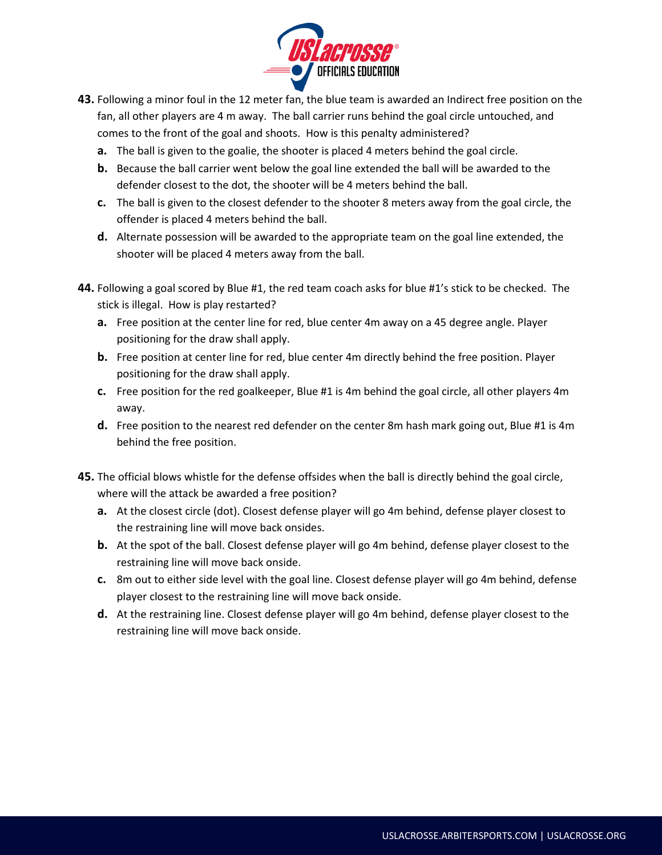

- **43.** Following a minor foul in the 12 meter fan, the blue team is awarded an Indirect free position on the fan, all other players are 4 m away. The ball carrier runs behind the goal circle untouched, and comes to the front of the goal and shoots. How is this penalty administered?
	- **a.** The ball is given to the goalie, the shooter is placed 4 meters behind the goal circle.
	- **b.** Because the ball carrier went below the goal line extended the ball will be awarded to the defender closest to the dot, the shooter will be 4 meters behind the ball.
	- **c.** The ball is given to the closest defender to the shooter 8 meters away from the goal circle, the offender is placed 4 meters behind the ball.
	- **d.** Alternate possession will be awarded to the appropriate team on the goal line extended, the shooter will be placed 4 meters away from the ball.
- **44.** Following a goal scored by Blue #1, the red team coach asks for blue #1's stick to be checked. The stick is illegal. How is play restarted?
	- **a.** Free position at the center line for red, blue center 4m away on a 45 degree angle. Player positioning for the draw shall apply.
	- **b.** Free position at center line for red, blue center 4m directly behind the free position. Player positioning for the draw shall apply.
	- **c.** Free position for the red goalkeeper, Blue #1 is 4m behind the goal circle, all other players 4m away.
	- **d.** Free position to the nearest red defender on the center 8m hash mark going out, Blue #1 is 4m behind the free position.
- **45.** The official blows whistle for the defense offsides when the ball is directly behind the goal circle, where will the attack be awarded a free position?
	- **a.** At the closest circle (dot). Closest defense player will go 4m behind, defense player closest to the restraining line will move back onsides.
	- **b.** At the spot of the ball. Closest defense player will go 4m behind, defense player closest to the restraining line will move back onside.
	- **c.** 8m out to either side level with the goal line. Closest defense player will go 4m behind, defense player closest to the restraining line will move back onside.
	- **d.** At the restraining line. Closest defense player will go 4m behind, defense player closest to the restraining line will move back onside.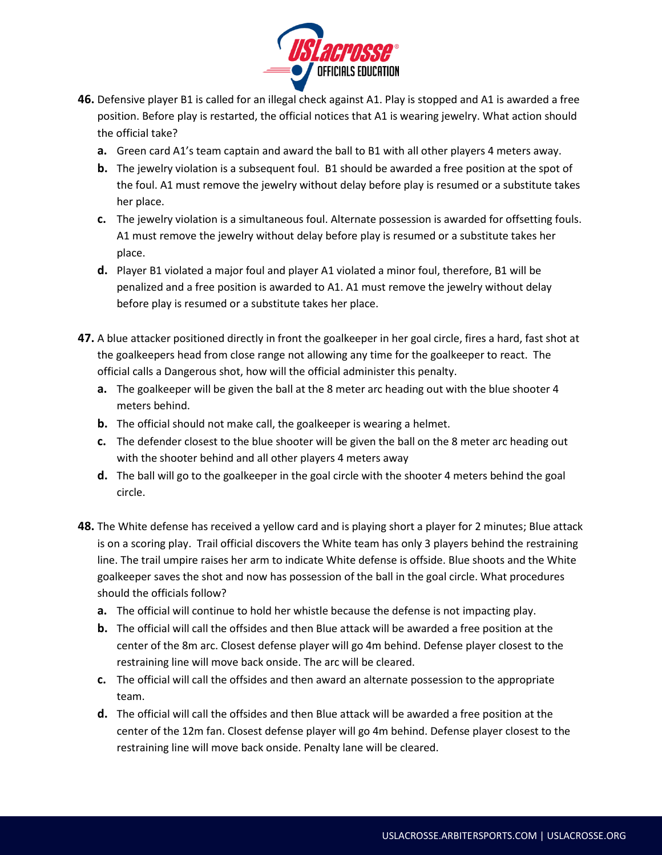

- **46.** Defensive player B1 is called for an illegal check against A1. Play is stopped and A1 is awarded a free position. Before play is restarted, the official notices that A1 is wearing jewelry. What action should the official take?
	- **a.** Green card A1's team captain and award the ball to B1 with all other players 4 meters away.
	- **b.** The jewelry violation is a subsequent foul. B1 should be awarded a free position at the spot of the foul. A1 must remove the jewelry without delay before play is resumed or a substitute takes her place.
	- **c.** The jewelry violation is a simultaneous foul. Alternate possession is awarded for offsetting fouls. A1 must remove the jewelry without delay before play is resumed or a substitute takes her place.
	- **d.** Player B1 violated a major foul and player A1 violated a minor foul, therefore, B1 will be penalized and a free position is awarded to A1. A1 must remove the jewelry without delay before play is resumed or a substitute takes her place.
- **47.** A blue attacker positioned directly in front the goalkeeper in her goal circle, fires a hard, fast shot at the goalkeepers head from close range not allowing any time for the goalkeeper to react. The official calls a Dangerous shot, how will the official administer this penalty.
	- **a.** The goalkeeper will be given the ball at the 8 meter arc heading out with the blue shooter 4 meters behind.
	- **b.** The official should not make call, the goalkeeper is wearing a helmet.
	- **c.** The defender closest to the blue shooter will be given the ball on the 8 meter arc heading out with the shooter behind and all other players 4 meters away
	- **d.** The ball will go to the goalkeeper in the goal circle with the shooter 4 meters behind the goal circle.
- **48.** The White defense has received a yellow card and is playing short a player for 2 minutes; Blue attack is on a scoring play. Trail official discovers the White team has only 3 players behind the restraining line. The trail umpire raises her arm to indicate White defense is offside. Blue shoots and the White goalkeeper saves the shot and now has possession of the ball in the goal circle. What procedures should the officials follow?
	- **a.** The official will continue to hold her whistle because the defense is not impacting play.
	- **b.** The official will call the offsides and then Blue attack will be awarded a free position at the center of the 8m arc. Closest defense player will go 4m behind. Defense player closest to the restraining line will move back onside. The arc will be cleared.
	- **c.** The official will call the offsides and then award an alternate possession to the appropriate team.
	- **d.** The official will call the offsides and then Blue attack will be awarded a free position at the center of the 12m fan. Closest defense player will go 4m behind. Defense player closest to the restraining line will move back onside. Penalty lane will be cleared.